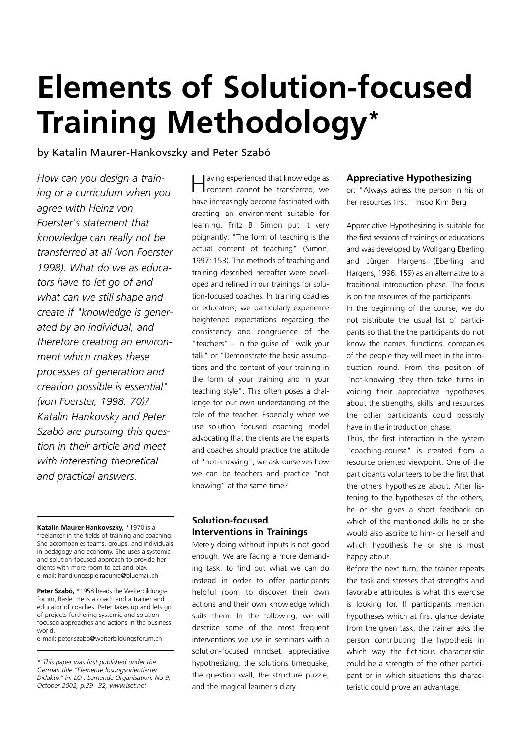# **Elements of Solution-focused Training Methodology\***

# by Katalin Maurer-Hankovszky and Peter Szabó

*How can you design a training or a curriculum when you agree with Heinz von Foerster's statement that knowledge can really not be transferred at all (von Foerster 1998). What do we as educators have to let go of and what can we still shape and create if "knowledge is generated by an individual, and therefore creating an environment which makes these processes of generation and creation possible is essential" (von Foerster, 1998: 70)? Katalin Hankovsky and Peter Szabó are pursuing this question in their article and meet with interesting theoretical and practical answers.*

**Katalin Maurer-Hankovszky,** \*1970 is a freelancer in the fields of training and coaching. She accompanies teams, groups, and individuals in pedagogy and economy. She uses a systemic and solution-focused approach to provide her clients with more room to act and play. e-mail: handlungsspielraeume@bluemail.ch

**Peter Szabó,** \*1958 heads the Weiterbildungsforum, Basle. He is a coach and a trainer and educator of coaches. Peter takes up and lets go of projects furthering systemic and solutionfocused approaches and actions in the business world.

e-mail: peter.szabo@weiterbildungsforum.ch

*\* This paper was first published under the German title "Elemente lösungsorientierter Didaktik" in: LO , Lernende Organisation, No 9, October 2002, p.29 –32, www.isct.net*

aving experienced that knowledge as content cannot be transferred, we have increasingly become fascinated with creating an environment suitable for learning. Fritz B. Simon put it very poignantly: "The form of teaching is the actual content of teaching" (Simon, 1997: 153). The methods of teaching and training described hereafter were developed and refined in our trainings for solution-focused coaches. In training coaches or educators, we particularly experience heightened expectations regarding the consistency and congruence of the "teachers" – in the guise of "walk your talk" or "Demonstrate the basic assumptions and the content of your training in the form of your training and in your teaching style". This often poses a challenge for our own understanding of the role of the teacher. Especially when we use solution focused coaching model advocating that the clients are the experts and coaches should practice the attitude of "not-knowing", we ask ourselves how we can be teachers and practice "not knowing" at the same time?

# **Solution-focused Interventions in Trainings**

Merely doing without inputs is not good enough. We are facing a more demanding task: to find out what we can do instead in order to offer participants helpful room to discover their own actions and their own knowledge which suits them. In the following, we will describe some of the most frequent interventions we use in seminars with a solution-focused mindset: appreciative hypothesizing, the solutions timequake, the question wall, the structure puzzle, and the magical learner's diary.

# **Appreciative Hypothesizing**

or: "Always adress the person in his or her resources first." Insoo Kim Berg

Appreciative Hypothesizing is suitable for the first sessions of trainings or educations and was developed by Wolfgang Eberling and Jürgen Hargens (Eberling and Hargens, 1996: 159) as an alternative to a traditional introduction phase. The focus is on the resources of the participants. In the beginning of the course, we do

not distribute the usual list of participants so that the the participants do not know the names, functions, companies of the people they will meet in the introduction round. From this position of "not-knowing they then take turns in voicing their appreciative hypotheses about the strengths, skills, and resources the other participants could possibly have in the introduction phase.

Thus, the first interaction in the system "coaching-course" is created from a resource oriented viewpoint. One of the participants volunteers to be the first that the others hypothesize about. After listening to the hypotheses of the others, he or she gives a short feedback on which of the mentioned skills he or she would also ascribe to him- or herself and which hypothesis he or she is most happy about.

Before the next turn, the trainer repeats the task and stresses that strengths and favorable attributes is what this exercise is looking for. If participants mention hypotheses which at first glance deviate from the given task, the trainer asks the person contributing the hypothesis in which way the fictitious characteristic could be a strength of the other participant or in which situations this characteristic could prove an advantage.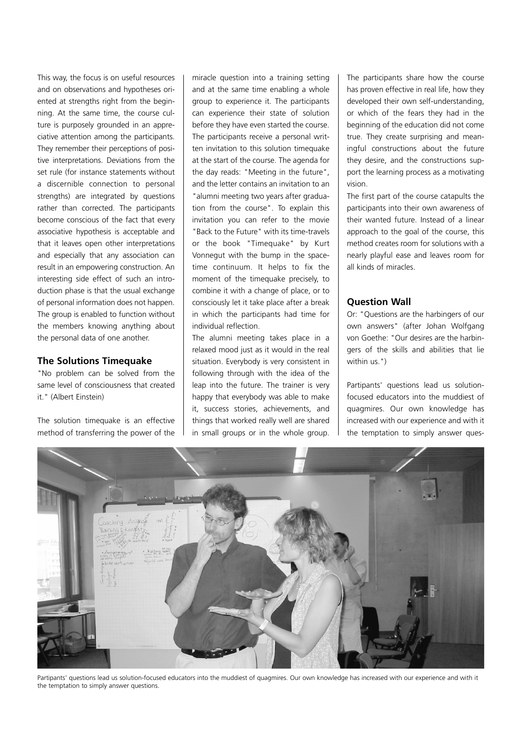This way, the focus is on useful resources and on observations and hypotheses oriented at strengths right from the beginning. At the same time, the course culture is purposely grounded in an appreciative attention among the participants. They remember their perceptions of positive interpretations. Deviations from the set rule (for instance statements without a discernible connection to personal strengths) are integrated by questions rather than corrected. The participants become conscious of the fact that every associative hypothesis is acceptable and that it leaves open other interpretations and especially that any association can result in an empowering construction. An interesting side effect of such an introduction phase is that the usual exchange of personal information does not happen. The group is enabled to function without the members knowing anything about the personal data of one another.

## **The Solutions Timequake**

"No problem can be solved from the same level of consciousness that created it." (Albert Einstein)

The solution timequake is an effective method of transferring the power of the miracle question into a training setting and at the same time enabling a whole group to experience it. The participants can experience their state of solution before they have even started the course. The participants receive a personal written invitation to this solution timequake at the start of the course. The agenda for the day reads: "Meeting in the future", and the letter contains an invitation to an "alumni meeting two years after graduation from the course". To explain this invitation you can refer to the movie "Back to the Future" with its time-travels or the book "Timequake" by Kurt Vonnegut with the bump in the spacetime continuum. It helps to fix the moment of the timequake precisely, to combine it with a change of place, or to consciously let it take place after a break in which the participants had time for individual reflection.

The alumni meeting takes place in a relaxed mood just as it would in the real situation. Everybody is very consistent in following through with the idea of the leap into the future. The trainer is very happy that everybody was able to make it, success stories, achievements, and things that worked really well are shared in small groups or in the whole group.

The participants share how the course has proven effective in real life, how they developed their own self-understanding, or which of the fears they had in the beginning of the education did not come true. They create surprising and meaningful constructions about the future they desire, and the constructions support the learning process as a motivating vision.

The first part of the course catapults the participants into their own awareness of their wanted future. Instead of a linear approach to the goal of the course, this method creates room for solutions with a nearly playful ease and leaves room for all kinds of miracles.

## **Question Wall**

Or: "Questions are the harbingers of our own answers" (after Johan Wolfgang von Goethe: "Our desires are the harbingers of the skills and abilities that lie within us.")

Partipants' questions lead us solutionfocused educators into the muddiest of quagmires. Our own knowledge has increased with our experience and with it the temptation to simply answer ques-



Partipants' questions lead us solution-focused educators into the muddiest of quagmires. Our own knowledge has increased with our experience and with it the temptation to simply answer questions.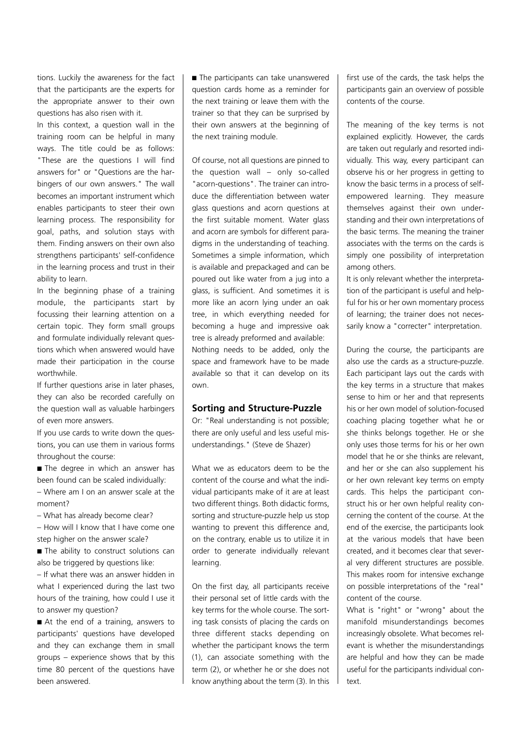tions. Luckily the awareness for the fact that the participants are the experts for the appropriate answer to their own questions has also risen with it.

In this context, a question wall in the training room can be helpful in many ways. The title could be as follows: "These are the questions I will find answers for" or "Questions are the harbingers of our own answers." The wall becomes an important instrument which enables participants to steer their own learning process. The responsibility for goal, paths, and solution stays with them. Finding answers on their own also strengthens participants' self-confidence in the learning process and trust in their ability to learn.

In the beginning phase of a training module, the participants start by focussing their learning attention on a certain topic. They form small groups and formulate individually relevant questions which when answered would have made their participation in the course worthwhile.

If further questions arise in later phases, they can also be recorded carefully on the question wall as valuable harbingers of even more answers.

If you use cards to write down the questions, you can use them in various forms throughout the course:

■ The degree in which an answer has been found can be scaled individually:

– Where am I on an answer scale at the moment?

– What has already become clear?

– How will I know that I have come one step higher on the answer scale?

■ The ability to construct solutions can also be triggered by questions like:

– If what there was an answer hidden in what I experienced during the last two hours of the training, how could I use it to answer my question?

■ At the end of a training, answers to participants' questions have developed and they can exchange them in small groups – experience shows that by this time 80 percent of the questions have been answered.

■ The participants can take unanswered question cards home as a reminder for the next training or leave them with the trainer so that they can be surprised by their own answers at the beginning of the next training module.

Of course, not all questions are pinned to the question wall – only so-called "acorn-questions". The trainer can introduce the differentiation between water glass questions and acorn questions at the first suitable moment. Water glass and acorn are symbols for different paradigms in the understanding of teaching. Sometimes a simple information, which is available and prepackaged and can be poured out like water from a jug into a glass, is sufficient. And sometimes it is more like an acorn lying under an oak tree, in which everything needed for becoming a huge and impressive oak tree is already preformed and available: Nothing needs to be added, only the space and framework have to be made available so that it can develop on its own.

#### **Sorting and Structure-Puzzle**

Or: "Real understanding is not possible; there are only useful and less useful misunderstandings." (Steve de Shazer)

What we as educators deem to be the content of the course and what the individual participants make of it are at least two different things. Both didactic forms, sorting and structure-puzzle help us stop wanting to prevent this difference and, on the contrary, enable us to utilize it in order to generate individually relevant learning.

On the first day, all participants receive their personal set of little cards with the key terms for the whole course. The sorting task consists of placing the cards on three different stacks depending on whether the participant knows the term (1), can associate something with the term (2), or whether he or she does not know anything about the term (3). In this first use of the cards, the task helps the participants gain an overview of possible contents of the course.

The meaning of the key terms is not explained explicitly. However, the cards are taken out regularly and resorted individually. This way, every participant can observe his or her progress in getting to know the basic terms in a process of selfempowered learning. They measure themselves against their own understanding and their own interpretations of the basic terms. The meaning the trainer associates with the terms on the cards is simply one possibility of interpretation among others.

It is only relevant whether the interpretation of the participant is useful and helpful for his or her own momentary process of learning; the trainer does not necessarily know a "correcter" interpretation.

During the course, the participants are also use the cards as a structure-puzzle. Each participant lays out the cards with the key terms in a structure that makes sense to him or her and that represents his or her own model of solution-focused coaching placing together what he or she thinks belongs together. He or she only uses those terms for his or her own model that he or she thinks are relevant, and her or she can also supplement his or her own relevant key terms on empty cards. This helps the participant construct his or her own helpful reality concerning the content of the course. At the end of the exercise, the participants look at the various models that have been created, and it becomes clear that several very different structures are possible. This makes room for intensive exchange on possible interpretations of the "real" content of the course.

What is "right" or "wrong" about the manifold misunderstandings becomes increasingly obsolete. What becomes relevant is whether the misunderstandings are helpful and how they can be made useful for the participants individual context.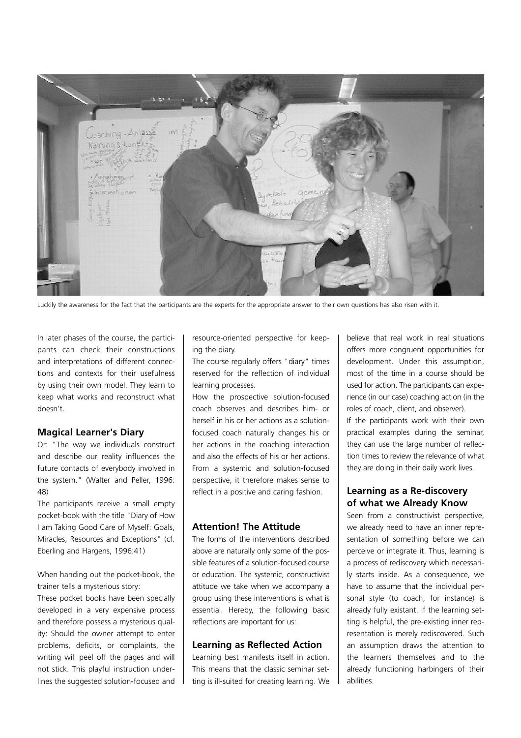

Luckily the awareness for the fact that the participants are the experts for the appropriate answer to their own questions has also risen with it.

In later phases of the course, the participants can check their constructions and interpretations of different connections and contexts for their usefulness by using their own model. They learn to keep what works and reconstruct what doesn't.

#### **Magical Learner's Diary**

Or: "The way we individuals construct and describe our reality influences the future contacts of everybody involved in the system." (Walter and Peller, 1996: 48)

The participants receive a small empty pocket-book with the title "Diary of How I am Taking Good Care of Myself: Goals, Miracles, Resources and Exceptions" (cf. Eberling and Hargens, 1996:41)

When handing out the pocket-book, the trainer tells a mysterious story:

These pocket books have been specially developed in a very expensive process and therefore possess a mysterious quality: Should the owner attempt to enter problems, deficits, or complaints, the writing will peel off the pages and will not stick. This playful instruction underlines the suggested solution-focused and

resource-oriented perspective for keeping the diary.

The course regularly offers "diary" times reserved for the reflection of individual learning processes.

How the prospective solution-focused coach observes and describes him- or herself in his or her actions as a solutionfocused coach naturally changes his or her actions in the coaching interaction and also the effects of his or her actions. From a systemic and solution-focused perspective, it therefore makes sense to reflect in a positive and caring fashion.

## **Attention! The Attitude**

The forms of the interventions described above are naturally only some of the possible features of a solution-focused course or education. The systemic, constructivist attitude we take when we accompany a group using these interventions is what is essential. Hereby, the following basic reflections are important for us:

#### **Learning as Reflected Action**

Learning best manifests itself in action. This means that the classic seminar setting is ill-suited for creating learning. We believe that real work in real situations offers more congruent opportunities for development. Under this assumption, most of the time in a course should be used for action. The participants can experience (in our case) coaching action (in the roles of coach, client, and observer).

If the participants work with their own practical examples during the seminar, they can use the large number of reflection times to review the relevance of what they are doing in their daily work lives.

#### **Learning as a Re-discovery of what we Already Know**

Seen from a constructivist perspective. we already need to have an inner representation of something before we can perceive or integrate it. Thus, learning is a process of rediscovery which necessarily starts inside. As a consequence, we have to assume that the individual personal style (to coach, for instance) is already fully existant. If the learning setting is helpful, the pre-existing inner representation is merely rediscovered. Such an assumption draws the attention to the learners themselves and to the already functioning harbingers of their abilities.